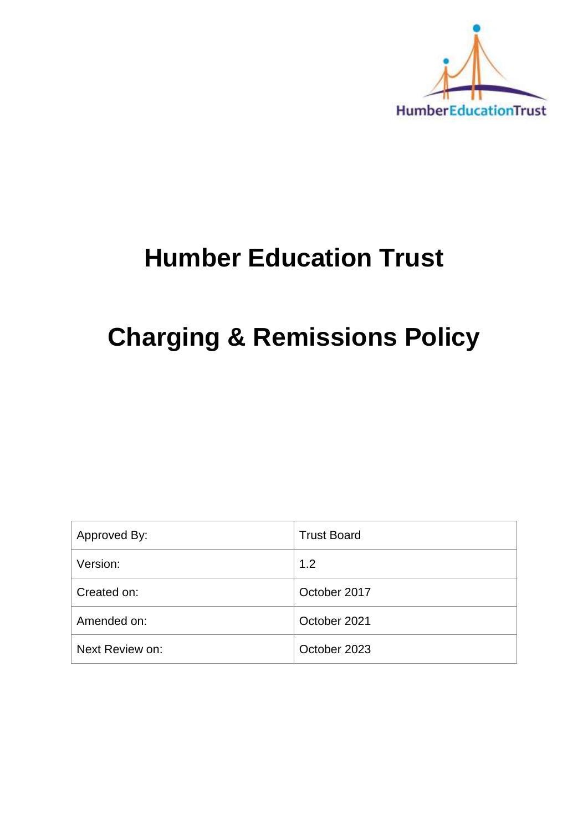

## **Humber Education Trust**

# **Charging & Remissions Policy**

| Approved By:    | <b>Trust Board</b> |
|-----------------|--------------------|
| Version:        | 1.2                |
| Created on:     | October 2017       |
| Amended on:     | October 2021       |
| Next Review on: | October 2023       |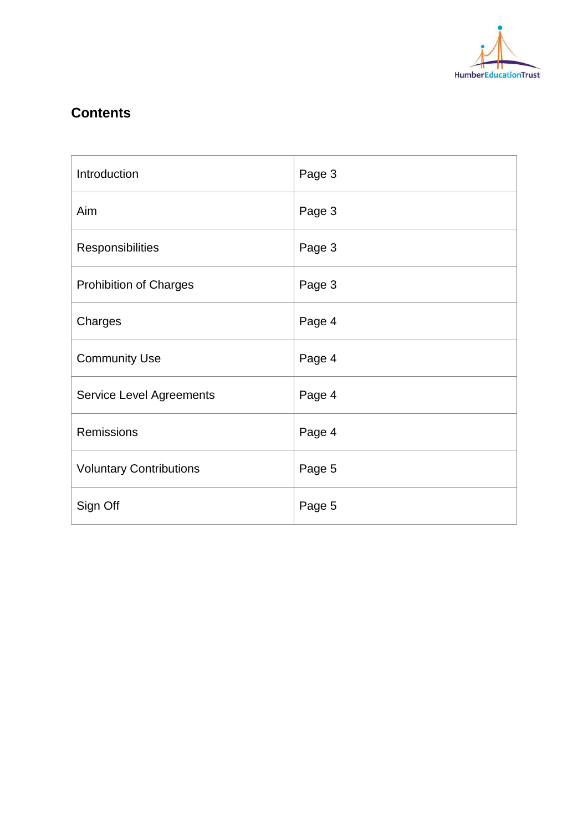

## **Contents**

| Introduction                    | Page 3 |
|---------------------------------|--------|
| Aim                             | Page 3 |
| Responsibilities                | Page 3 |
| <b>Prohibition of Charges</b>   | Page 3 |
| Charges                         | Page 4 |
| <b>Community Use</b>            | Page 4 |
| <b>Service Level Agreements</b> | Page 4 |
| <b>Remissions</b>               | Page 4 |
| <b>Voluntary Contributions</b>  | Page 5 |
| Sign Off                        | Page 5 |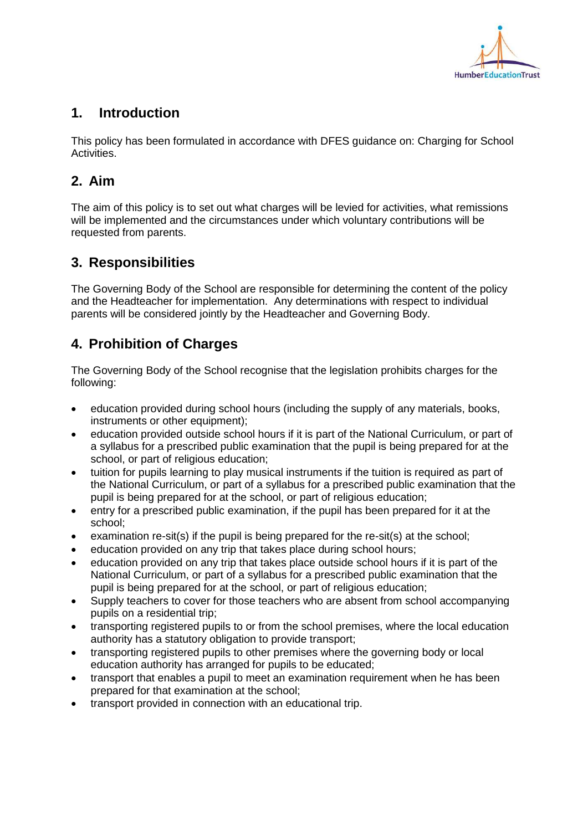

## **1. Introduction**

This policy has been formulated in accordance with DFES guidance on: Charging for School **Activities** 

### **2. Aim**

The aim of this policy is to set out what charges will be levied for activities, what remissions will be implemented and the circumstances under which voluntary contributions will be requested from parents.

#### **3. Responsibilities**

The Governing Body of the School are responsible for determining the content of the policy and the Headteacher for implementation. Any determinations with respect to individual parents will be considered jointly by the Headteacher and Governing Body.

## **4. Prohibition of Charges**

The Governing Body of the School recognise that the legislation prohibits charges for the following:

- education provided during school hours (including the supply of any materials, books, instruments or other equipment);
- education provided outside school hours if it is part of the National Curriculum, or part of a syllabus for a prescribed public examination that the pupil is being prepared for at the school, or part of religious education;
- tuition for pupils learning to play musical instruments if the tuition is required as part of the National Curriculum, or part of a syllabus for a prescribed public examination that the pupil is being prepared for at the school, or part of religious education;
- entry for a prescribed public examination, if the pupil has been prepared for it at the school;
- examination re-sit(s) if the pupil is being prepared for the re-sit(s) at the school;
- education provided on any trip that takes place during school hours;
- education provided on any trip that takes place outside school hours if it is part of the National Curriculum, or part of a syllabus for a prescribed public examination that the pupil is being prepared for at the school, or part of religious education;
- Supply teachers to cover for those teachers who are absent from school accompanying pupils on a residential trip;
- transporting registered pupils to or from the school premises, where the local education authority has a statutory obligation to provide transport;
- transporting registered pupils to other premises where the governing body or local education authority has arranged for pupils to be educated;
- transport that enables a pupil to meet an examination requirement when he has been prepared for that examination at the school;
- transport provided in connection with an educational trip.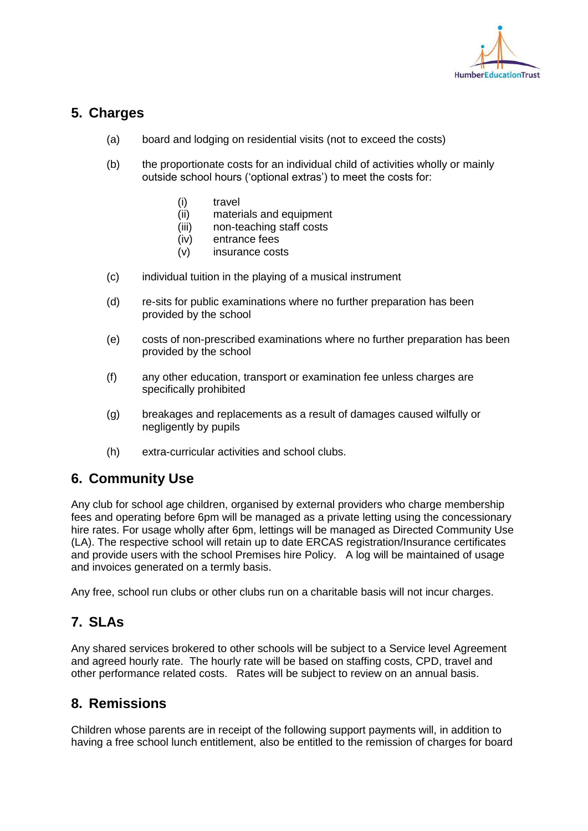

#### **5. Charges**

- (a) board and lodging on residential visits (not to exceed the costs)
- (b) the proportionate costs for an individual child of activities wholly or mainly outside school hours ('optional extras') to meet the costs for:
	- (i) travel
	- (ii) materials and equipment
	- (iii) non-teaching staff costs
	- (iv) entrance fees
	- (v) insurance costs
- (c) individual tuition in the playing of a musical instrument
- (d) re-sits for public examinations where no further preparation has been provided by the school
- (e) costs of non-prescribed examinations where no further preparation has been provided by the school
- (f) any other education, transport or examination fee unless charges are specifically prohibited
- (g) breakages and replacements as a result of damages caused wilfully or negligently by pupils
- (h) extra-curricular activities and school clubs.

#### **6. Community Use**

Any club for school age children, organised by external providers who charge membership fees and operating before 6pm will be managed as a private letting using the concessionary hire rates. For usage wholly after 6pm, lettings will be managed as Directed Community Use (LA). The respective school will retain up to date ERCAS registration/Insurance certificates and provide users with the school Premises hire Policy. A log will be maintained of usage and invoices generated on a termly basis.

Any free, school run clubs or other clubs run on a charitable basis will not incur charges.

#### **7. SLAs**

Any shared services brokered to other schools will be subject to a Service level Agreement and agreed hourly rate. The hourly rate will be based on staffing costs, CPD, travel and other performance related costs. Rates will be subject to review on an annual basis.

#### **8. Remissions**

Children whose parents are in receipt of the following support payments will, in addition to having a free school lunch entitlement, also be entitled to the remission of charges for board